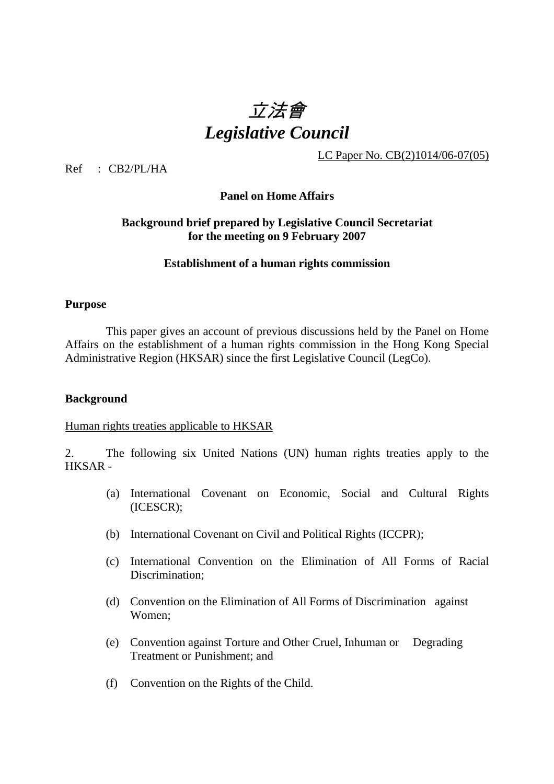# 立法會 *Legislative Council*

LC Paper No. CB(2)1014/06-07(05)

Ref : CB2/PL/HA

#### **Panel on Home Affairs**

## **Background brief prepared by Legislative Council Secretariat for the meeting on 9 February 2007**

#### **Establishment of a human rights commission**

#### **Purpose**

This paper gives an account of previous discussions held by the Panel on Home Affairs on the establishment of a human rights commission in the Hong Kong Special Administrative Region (HKSAR) since the first Legislative Council (LegCo).

#### **Background**

#### Human rights treaties applicable to HKSAR

2. The following six United Nations (UN) human rights treaties apply to the HKSAR -

- (a) International Covenant on Economic, Social and Cultural Rights (ICESCR);
- (b) International Covenant on Civil and Political Rights (ICCPR);
- (c) International Convention on the Elimination of All Forms of Racial Discrimination;
- (d) Convention on the Elimination of All Forms of Discrimination against Women;
- (e) Convention against Torture and Other Cruel, Inhuman or Degrading Treatment or Punishment; and
- (f) Convention on the Rights of the Child.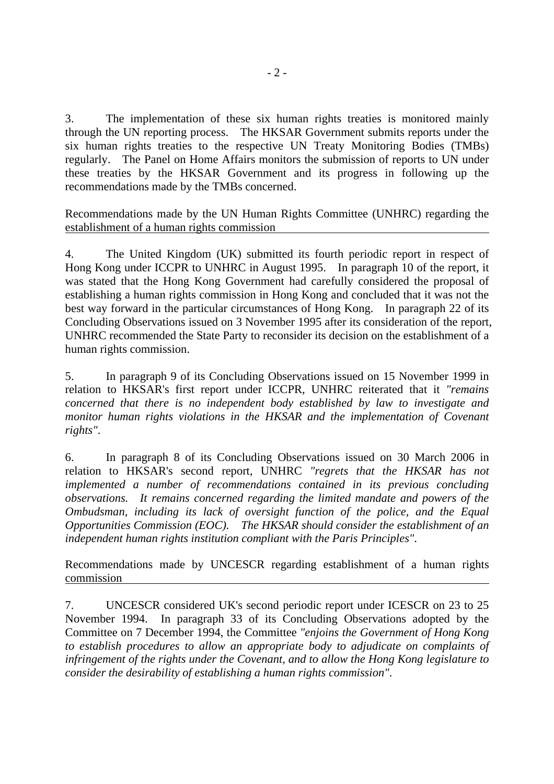3. The implementation of these six human rights treaties is monitored mainly through the UN reporting process. The HKSAR Government submits reports under the six human rights treaties to the respective UN Treaty Monitoring Bodies (TMBs) regularly. The Panel on Home Affairs monitors the submission of reports to UN under these treaties by the HKSAR Government and its progress in following up the recommendations made by the TMBs concerned.

Recommendations made by the UN Human Rights Committee (UNHRC) regarding the establishment of a human rights commission

4. The United Kingdom (UK) submitted its fourth periodic report in respect of Hong Kong under ICCPR to UNHRC in August 1995. In paragraph 10 of the report, it was stated that the Hong Kong Government had carefully considered the proposal of establishing a human rights commission in Hong Kong and concluded that it was not the best way forward in the particular circumstances of Hong Kong. In paragraph 22 of its Concluding Observations issued on 3 November 1995 after its consideration of the report, UNHRC recommended the State Party to reconsider its decision on the establishment of a human rights commission.

5. In paragraph 9 of its Concluding Observations issued on 15 November 1999 in relation to HKSAR's first report under ICCPR, UNHRC reiterated that it *"remains concerned that there is no independent body established by law to investigate and monitor human rights violations in the HKSAR and the implementation of Covenant rights"*.

6. In paragraph 8 of its Concluding Observations issued on 30 March 2006 in relation to HKSAR's second report, UNHRC *"regrets that the HKSAR has not implemented a number of recommendations contained in its previous concluding observations. It remains concerned regarding the limited mandate and powers of the Ombudsman, including its lack of oversight function of the police, and the Equal Opportunities Commission (EOC). The HKSAR should consider the establishment of an independent human rights institution compliant with the Paris Principles"*.

Recommendations made by UNCESCR regarding establishment of a human rights commission

7. UNCESCR considered UK's second periodic report under ICESCR on 23 to 25 November 1994. In paragraph 33 of its Concluding Observations adopted by the Committee on 7 December 1994, the Committee *"enjoins the Government of Hong Kong to establish procedures to allow an appropriate body to adjudicate on complaints of infringement of the rights under the Covenant, and to allow the Hong Kong legislature to consider the desirability of establishing a human rights commission"*.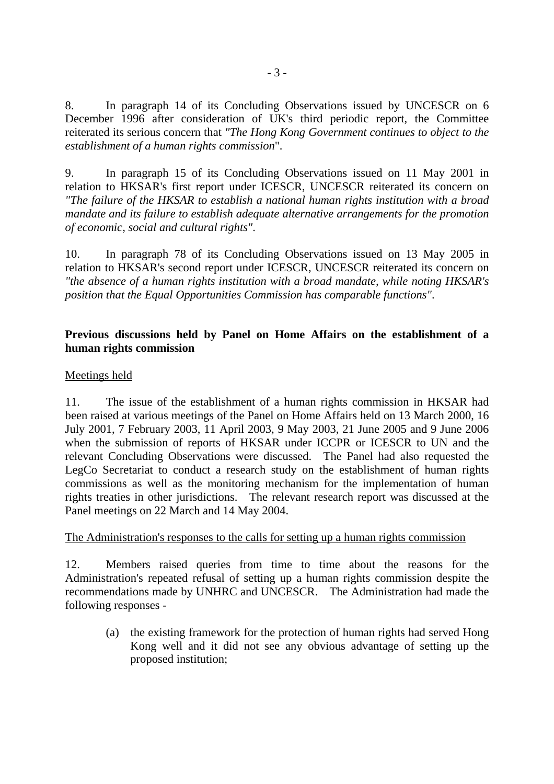8. In paragraph 14 of its Concluding Observations issued by UNCESCR on 6 December 1996 after consideration of UK's third periodic report, the Committee reiterated its serious concern that *"The Hong Kong Government continues to object to the establishment of a human rights commission*".

9. In paragraph 15 of its Concluding Observations issued on 11 May 2001 in relation to HKSAR's first report under ICESCR, UNCESCR reiterated its concern on *"The failure of the HKSAR to establish a national human rights institution with a broad mandate and its failure to establish adequate alternative arrangements for the promotion of economic, social and cultural rights"*.

10. In paragraph 78 of its Concluding Observations issued on 13 May 2005 in relation to HKSAR's second report under ICESCR, UNCESCR reiterated its concern on *"the absence of a human rights institution with a broad mandate, while noting HKSAR's position that the Equal Opportunities Commission has comparable functions"*.

## **Previous discussions held by Panel on Home Affairs on the establishment of a human rights commission**

## Meetings held

11. The issue of the establishment of a human rights commission in HKSAR had been raised at various meetings of the Panel on Home Affairs held on 13 March 2000, 16 July 2001, 7 February 2003, 11 April 2003, 9 May 2003, 21 June 2005 and 9 June 2006 when the submission of reports of HKSAR under ICCPR or ICESCR to UN and the relevant Concluding Observations were discussed. The Panel had also requested the LegCo Secretariat to conduct a research study on the establishment of human rights commissions as well as the monitoring mechanism for the implementation of human rights treaties in other jurisdictions. The relevant research report was discussed at the Panel meetings on 22 March and 14 May 2004.

## The Administration's responses to the calls for setting up a human rights commission

12. Members raised queries from time to time about the reasons for the Administration's repeated refusal of setting up a human rights commission despite the recommendations made by UNHRC and UNCESCR. The Administration had made the following responses -

 (a) the existing framework for the protection of human rights had served Hong Kong well and it did not see any obvious advantage of setting up the proposed institution;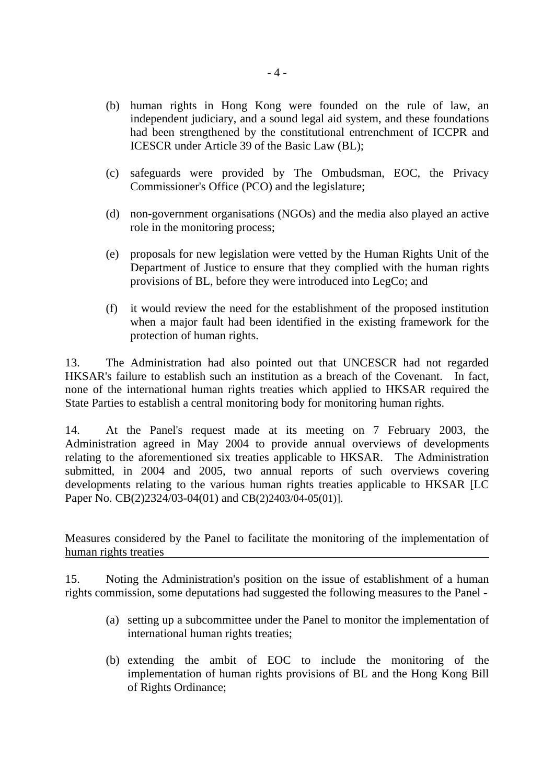- (b) human rights in Hong Kong were founded on the rule of law, an independent judiciary, and a sound legal aid system, and these foundations had been strengthened by the constitutional entrenchment of ICCPR and ICESCR under Article 39 of the Basic Law (BL);
- (c) safeguards were provided by The Ombudsman, EOC, the Privacy Commissioner's Office (PCO) and the legislature;
- (d) non-government organisations (NGOs) and the media also played an active role in the monitoring process;
- (e) proposals for new legislation were vetted by the Human Rights Unit of the Department of Justice to ensure that they complied with the human rights provisions of BL, before they were introduced into LegCo; and
- (f) it would review the need for the establishment of the proposed institution when a major fault had been identified in the existing framework for the protection of human rights.

13. The Administration had also pointed out that UNCESCR had not regarded HKSAR's failure to establish such an institution as a breach of the Covenant. In fact, none of the international human rights treaties which applied to HKSAR required the State Parties to establish a central monitoring body for monitoring human rights.

14. At the Panel's request made at its meeting on 7 February 2003, the Administration agreed in May 2004 to provide annual overviews of developments relating to the aforementioned six treaties applicable to HKSAR. The Administration submitted, in 2004 and 2005, two annual reports of such overviews covering developments relating to the various human rights treaties applicable to HKSAR [LC] Paper No. CB(2)2324/03-04(01) and CB(2)2403/04-05(01)].

Measures considered by the Panel to facilitate the monitoring of the implementation of human rights treaties

15. Noting the Administration's position on the issue of establishment of a human rights commission, some deputations had suggested the following measures to the Panel -

- (a) setting up a subcommittee under the Panel to monitor the implementation of international human rights treaties;
- (b) extending the ambit of EOC to include the monitoring of the implementation of human rights provisions of BL and the Hong Kong Bill of Rights Ordinance;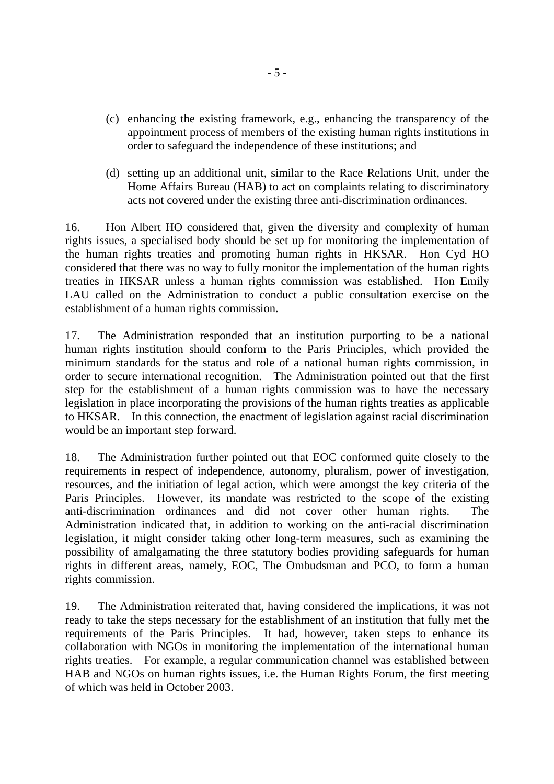- (c) enhancing the existing framework, e.g., enhancing the transparency of the appointment process of members of the existing human rights institutions in order to safeguard the independence of these institutions; and
- (d) setting up an additional unit, similar to the Race Relations Unit, under the Home Affairs Bureau (HAB) to act on complaints relating to discriminatory acts not covered under the existing three anti-discrimination ordinances.

16. Hon Albert HO considered that, given the diversity and complexity of human rights issues, a specialised body should be set up for monitoring the implementation of the human rights treaties and promoting human rights in HKSAR. Hon Cyd HO considered that there was no way to fully monitor the implementation of the human rights treaties in HKSAR unless a human rights commission was established. Hon Emily LAU called on the Administration to conduct a public consultation exercise on the establishment of a human rights commission.

17. The Administration responded that an institution purporting to be a national human rights institution should conform to the Paris Principles, which provided the minimum standards for the status and role of a national human rights commission, in order to secure international recognition. The Administration pointed out that the first step for the establishment of a human rights commission was to have the necessary legislation in place incorporating the provisions of the human rights treaties as applicable to HKSAR. In this connection, the enactment of legislation against racial discrimination would be an important step forward.

18. The Administration further pointed out that EOC conformed quite closely to the requirements in respect of independence, autonomy, pluralism, power of investigation, resources, and the initiation of legal action, which were amongst the key criteria of the Paris Principles. However, its mandate was restricted to the scope of the existing anti-discrimination ordinances and did not cover other human rights. The Administration indicated that, in addition to working on the anti-racial discrimination legislation, it might consider taking other long-term measures, such as examining the possibility of amalgamating the three statutory bodies providing safeguards for human rights in different areas, namely, EOC, The Ombudsman and PCO, to form a human rights commission.

19. The Administration reiterated that, having considered the implications, it was not ready to take the steps necessary for the establishment of an institution that fully met the requirements of the Paris Principles. It had, however, taken steps to enhance its collaboration with NGOs in monitoring the implementation of the international human rights treaties. For example, a regular communication channel was established between HAB and NGOs on human rights issues, i.e. the Human Rights Forum, the first meeting of which was held in October 2003.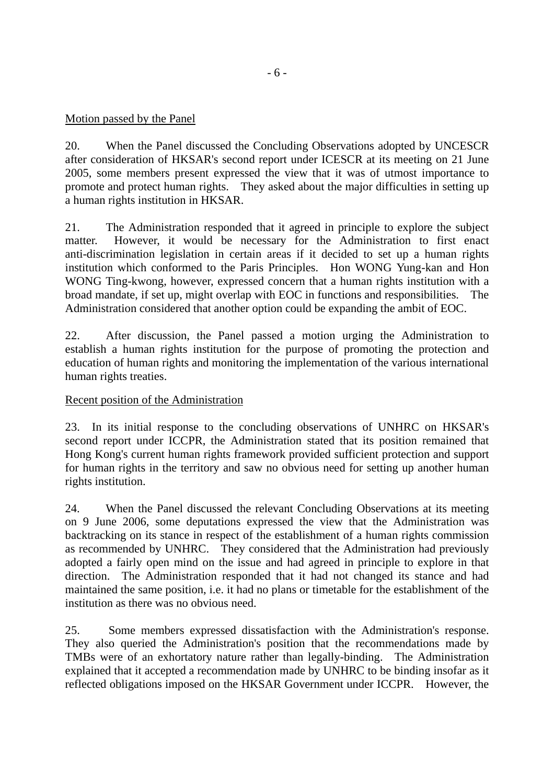## Motion passed by the Panel

20. When the Panel discussed the Concluding Observations adopted by UNCESCR after consideration of HKSAR's second report under ICESCR at its meeting on 21 June 2005, some members present expressed the view that it was of utmost importance to promote and protect human rights. They asked about the major difficulties in setting up a human rights institution in HKSAR.

21. The Administration responded that it agreed in principle to explore the subject matter. However, it would be necessary for the Administration to first enact anti-discrimination legislation in certain areas if it decided to set up a human rights institution which conformed to the Paris Principles. Hon WONG Yung-kan and Hon WONG Ting-kwong, however, expressed concern that a human rights institution with a broad mandate, if set up, might overlap with EOC in functions and responsibilities. The Administration considered that another option could be expanding the ambit of EOC.

22. After discussion, the Panel passed a motion urging the Administration to establish a human rights institution for the purpose of promoting the protection and education of human rights and monitoring the implementation of the various international human rights treaties.

## Recent position of the Administration

23. In its initial response to the concluding observations of UNHRC on HKSAR's second report under ICCPR, the Administration stated that its position remained that Hong Kong's current human rights framework provided sufficient protection and support for human rights in the territory and saw no obvious need for setting up another human rights institution.

24. When the Panel discussed the relevant Concluding Observations at its meeting on 9 June 2006, some deputations expressed the view that the Administration was backtracking on its stance in respect of the establishment of a human rights commission as recommended by UNHRC. They considered that the Administration had previously adopted a fairly open mind on the issue and had agreed in principle to explore in that direction. The Administration responded that it had not changed its stance and had maintained the same position, i.e. it had no plans or timetable for the establishment of the institution as there was no obvious need.

25. Some members expressed dissatisfaction with the Administration's response. They also queried the Administration's position that the recommendations made by TMBs were of an exhortatory nature rather than legally-binding. The Administration explained that it accepted a recommendation made by UNHRC to be binding insofar as it reflected obligations imposed on the HKSAR Government under ICCPR. However, the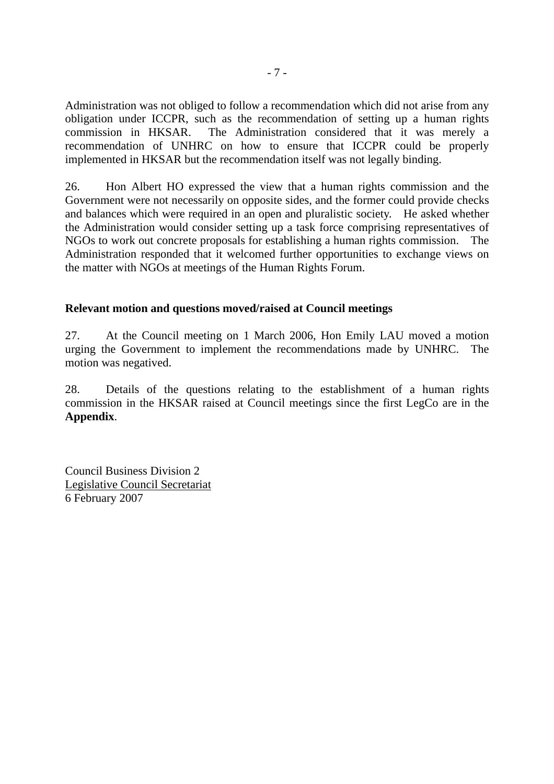Administration was not obliged to follow a recommendation which did not arise from any obligation under ICCPR, such as the recommendation of setting up a human rights commission in HKSAR. The Administration considered that it was merely a recommendation of UNHRC on how to ensure that ICCPR could be properly implemented in HKSAR but the recommendation itself was not legally binding.

26. Hon Albert HO expressed the view that a human rights commission and the Government were not necessarily on opposite sides, and the former could provide checks and balances which were required in an open and pluralistic society. He asked whether the Administration would consider setting up a task force comprising representatives of NGOs to work out concrete proposals for establishing a human rights commission. The Administration responded that it welcomed further opportunities to exchange views on the matter with NGOs at meetings of the Human Rights Forum.

## **Relevant motion and questions moved/raised at Council meetings**

27. At the Council meeting on 1 March 2006, Hon Emily LAU moved a motion urging the Government to implement the recommendations made by UNHRC. The motion was negatived.

28. Details of the questions relating to the establishment of a human rights commission in the HKSAR raised at Council meetings since the first LegCo are in the **Appendix**.

Council Business Division 2 Legislative Council Secretariat 6 February 2007